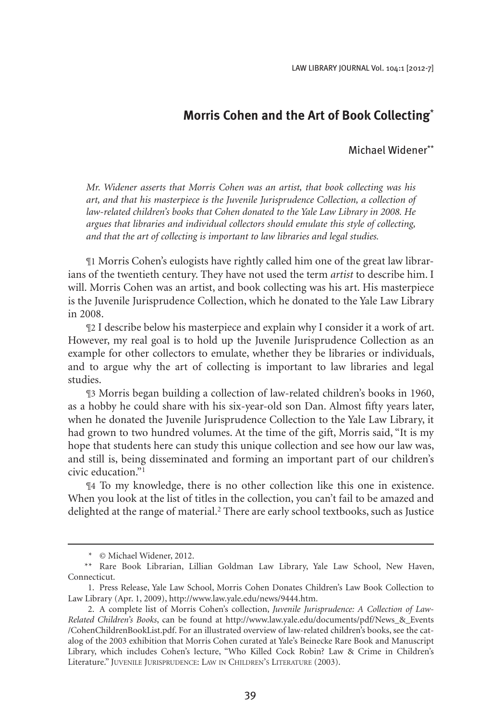## **Morris Cohen and the Art of Book Collecting**\*

## Michael Widener\*\*

*Mr. Widener asserts that Morris Cohen was an artist, that book collecting was his art, and that his masterpiece is the Juvenile Jurisprudence Collection, a collection of law-related children's books that Cohen donated to the Yale Law Library in 2008. He argues that libraries and individual collectors should emulate this style of collecting, and that the art of collecting is important to law libraries and legal studies.*

¶1 Morris Cohen's eulogists have rightly called him one of the great law librarians of the twentieth century. They have not used the term *artist* to describe him. I will. Morris Cohen was an artist, and book collecting was his art. His masterpiece is the Juvenile Jurisprudence Collection, which he donated to the Yale Law Library in 2008.

¶2 I describe below his masterpiece and explain why I consider it a work of art. However, my real goal is to hold up the Juvenile Jurisprudence Collection as an example for other collectors to emulate, whether they be libraries or individuals, and to argue why the art of collecting is important to law libraries and legal studies.

¶3 Morris began building a collection of law-related children's books in 1960, as a hobby he could share with his six-year-old son Dan. Almost fifty years later, when he donated the Juvenile Jurisprudence Collection to the Yale Law Library, it had grown to two hundred volumes. At the time of the gift, Morris said, "It is my hope that students here can study this unique collection and see how our law was, and still is, being disseminated and forming an important part of our children's civic education."1

¶4 To my knowledge, there is no other collection like this one in existence. When you look at the list of titles in the collection, you can't fail to be amazed and delighted at the range of material.<sup>2</sup> There are early school textbooks, such as Justice

 <sup>\* ©</sup> Michael Widener, 2012.

<sup>\*\*</sup> Rare Book Librarian, Lillian Goldman Law Library, Yale Law School, New Haven, Connecticut.

<sup>1.</sup> Press Release, Yale Law School, Morris Cohen Donates Children's Law Book Collection to Law Library (Apr. 1, 2009), http://www.law.yale.edu/news/9444.htm.

 <sup>2.</sup> A complete list of Morris Cohen's collection, *Juvenile Jurisprudence: A Collection of Law-Related Children's Books*, can be found at http://www.law.yale.edu/documents/pdf/News\_&\_Events /CohenChildrenBookList.pdf. For an illustrated overview of law-related children's books, see the catalog of the 2003 exhibition that Morris Cohen curated at Yale's Beinecke Rare Book and Manuscript Library, which includes Cohen's lecture, "Who Killed Cock Robin? Law & Crime in Children's Literature." Juvenile Jurisprudence: Law in Children's Literature (2003).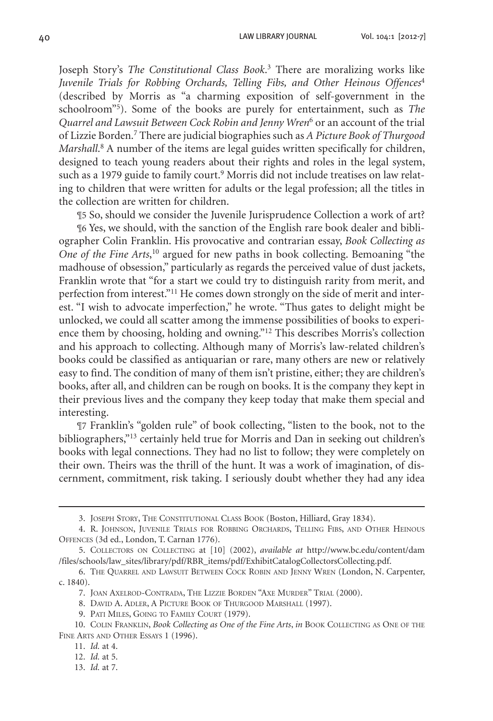40 LAW LIBRARY JOURNAL Vol. 104:1 [2012-7]

Joseph Story's *The Constitutional Class Book*. <sup>3</sup> There are moralizing works like *Juvenile Trials for Robbing Orchards, Telling Fibs, and Other Heinous Offences*<sup>4</sup> (described by Morris as "a charming exposition of self-government in the schoolroom"5 ). Some of the books are purely for entertainment, such as *The Quarrel and Lawsuit Between Cock Robin and Jenny Wren*<sup>6</sup> or an account of the trial of Lizzie Borden.7 There are judicial biographies such as *A Picture Book of Thurgood Marshall*. <sup>8</sup> A number of the items are legal guides written specifically for children, designed to teach young readers about their rights and roles in the legal system, such as a 1979 guide to family court.<sup>9</sup> Morris did not include treatises on law relating to children that were written for adults or the legal profession; all the titles in the collection are written for children.

¶5 So, should we consider the Juvenile Jurisprudence Collection a work of art?

¶6 Yes, we should, with the sanction of the English rare book dealer and bibliographer Colin Franklin. His provocative and contrarian essay, *Book Collecting as One of the Fine Arts*, <sup>10</sup> argued for new paths in book collecting. Bemoaning "the madhouse of obsession," particularly as regards the perceived value of dust jackets, Franklin wrote that "for a start we could try to distinguish rarity from merit, and perfection from interest."<sup>11</sup> He comes down strongly on the side of merit and interest. "I wish to advocate imperfection," he wrote. "Thus gates to delight might be unlocked, we could all scatter among the immense possibilities of books to experience them by choosing, holding and owning."12 This describes Morris's collection and his approach to collecting. Although many of Morris's law-related children's books could be classified as antiquarian or rare, many others are new or relatively easy to find. The condition of many of them isn't pristine, either; they are children's books, after all, and children can be rough on books. It is the company they kept in their previous lives and the company they keep today that make them special and interesting.

¶7 Franklin's "golden rule" of book collecting, "listen to the book, not to the bibliographers,"13 certainly held true for Morris and Dan in seeking out children's books with legal connections. They had no list to follow; they were completely on their own. Theirs was the thrill of the hunt. It was a work of imagination, of discernment, commitment, risk taking. I seriously doubt whether they had any idea

<sup>3.</sup> JOSEPH STORY, THE CONSTITUTIONAL CLASS BOOK (Boston, Hilliard, Gray 1834).

<sup>4.</sup> R. JOHNSON, JUVENILE TRIALS FOR ROBBING ORCHARDS, TELLING FIBS, AND OTHER HEINOUS Offences (3d ed., London, T. Carnan 1776).

 <sup>5.</sup>  Collectors on Collecting at [10] (2002), *available at* http://www.bc.edu/content/dam /files/schools/law\_sites/library/pdf/RBR\_items/pdf/ExhibitCatalogCollectorsCollecting.pdf.

<sup>6.</sup> THE QUARREL AND LAWSUIT BETWEEN COCK ROBIN AND JENNY WREN (London, N. Carpenter, c. 1840).

<sup>7.</sup> JOAN AXELROD-CONTRADA, THE LIZZIE BORDEN "AXE MURDER" TRIAL (2000).

<sup>8.</sup> DAVID A. ADLER, A PICTURE BOOK OF THURGOOD MARSHALL (1997).

<sup>9.</sup> PATI MILES, GOING TO FAMILY COURT (1979).

 <sup>10.</sup> Colin Franklin, *Book Collecting as One of the Fine Arts*, *in* Book Collecting as One of the FINE ARTS AND OTHER ESSAYS 1 (1996).

 <sup>11.</sup> *Id.* at 4.

 <sup>12.</sup> *Id.* at 5.

 <sup>13.</sup> *Id.* at 7.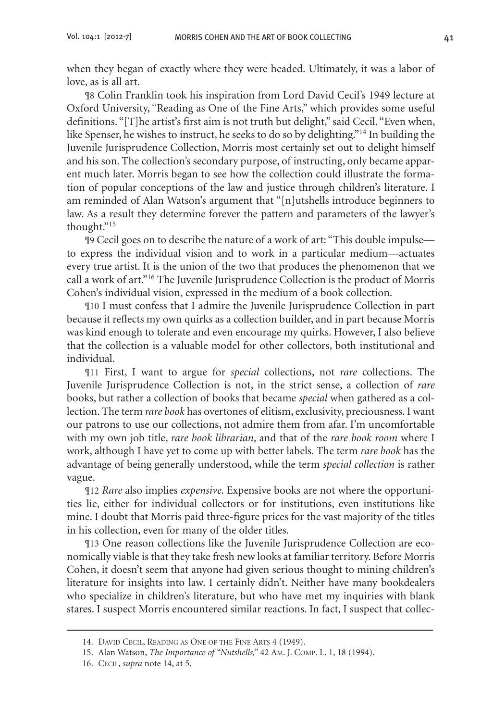when they began of exactly where they were headed. Ultimately, it was a labor of love, as is all art.

¶8 Colin Franklin took his inspiration from Lord David Cecil's 1949 lecture at Oxford University, "Reading as One of the Fine Arts," which provides some useful definitions. "[T]he artist's first aim is not truth but delight," said Cecil. "Even when, like Spenser, he wishes to instruct, he seeks to do so by delighting."14 In building the Juvenile Jurisprudence Collection, Morris most certainly set out to delight himself and his son. The collection's secondary purpose, of instructing, only became apparent much later. Morris began to see how the collection could illustrate the formation of popular conceptions of the law and justice through children's literature. I am reminded of Alan Watson's argument that "[n]utshells introduce beginners to law. As a result they determine forever the pattern and parameters of the lawyer's thought."15

¶9 Cecil goes on to describe the nature of a work of art: "This double impulse to express the individual vision and to work in a particular medium—actuates every true artist. It is the union of the two that produces the phenomenon that we call a work of art."16 The Juvenile Jurisprudence Collection is the product of Morris Cohen's individual vision, expressed in the medium of a book collection.

¶10 I must confess that I admire the Juvenile Jurisprudence Collection in part because it reflects my own quirks as a collection builder, and in part because Morris was kind enough to tolerate and even encourage my quirks. However, I also believe that the collection is a valuable model for other collectors, both institutional and individual.

¶11 First, I want to argue for *special* collections, not *rare* collections. The Juvenile Jurisprudence Collection is not, in the strict sense, a collection of *rare* books, but rather a collection of books that became *special* when gathered as a collection. The term *rare book* has overtones of elitism, exclusivity, preciousness.I want our patrons to use our collections, not admire them from afar. I'm uncomfortable with my own job title, *rare book librarian*, and that of the *rare book room* where I work, although I have yet to come up with better labels. The term *rare book* has the advantage of being generally understood, while the term *special collection* is rather vague.

¶12 *Rare* also implies *expensive*. Expensive books are not where the opportunities lie, either for individual collectors or for institutions, even institutions like mine. I doubt that Morris paid three-figure prices for the vast majority of the titles in his collection, even for many of the older titles.

¶13 One reason collections like the Juvenile Jurisprudence Collection are economically viable is that they take fresh new looks at familiar territory. Before Morris Cohen, it doesn't seem that anyone had given serious thought to mining children's literature for insights into law. I certainly didn't. Neither have many bookdealers who specialize in children's literature, but who have met my inquiries with blank stares. I suspect Morris encountered similar reactions. In fact, I suspect that collec-

<sup>14.</sup> DAVID CECIL, READING AS ONE OF THE FINE ARTS 4 (1949).

 <sup>15.</sup> Alan Watson, *The Importance of "Nutshells,"* 42 Am. J. Comp. L. 1, 18 (1994).

 <sup>16.</sup> Cecil, *supra* note 14, at 5.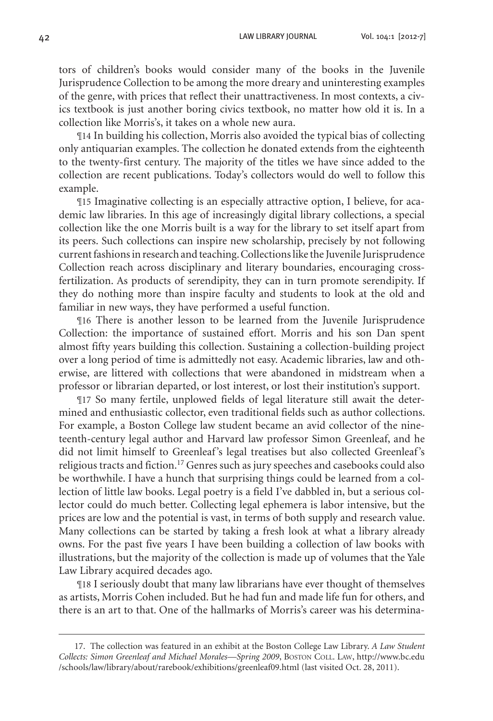tors of children's books would consider many of the books in the Juvenile Jurisprudence Collection to be among the more dreary and uninteresting examples of the genre, with prices that reflect their unattractiveness. In most contexts, a civics textbook is just another boring civics textbook, no matter how old it is. In a collection like Morris's, it takes on a whole new aura.

¶14 In building his collection, Morris also avoided the typical bias of collecting only antiquarian examples. The collection he donated extends from the eighteenth to the twenty-first century. The majority of the titles we have since added to the collection are recent publications. Today's collectors would do well to follow this example.

¶15 Imaginative collecting is an especially attractive option, I believe, for academic law libraries. In this age of increasingly digital library collections, a special collection like the one Morris built is a way for the library to set itself apart from its peers. Such collections can inspire new scholarship, precisely by not following current fashions in research and teaching. Collections like the Juvenile Jurisprudence Collection reach across disciplinary and literary boundaries, encouraging crossfertilization. As products of serendipity, they can in turn promote serendipity. If they do nothing more than inspire faculty and students to look at the old and familiar in new ways, they have performed a useful function.

¶16 There is another lesson to be learned from the Juvenile Jurisprudence Collection: the importance of sustained effort. Morris and his son Dan spent almost fifty years building this collection. Sustaining a collection-building project over a long period of time is admittedly not easy. Academic libraries, law and otherwise, are littered with collections that were abandoned in midstream when a professor or librarian departed, or lost interest, or lost their institution's support.

¶17 So many fertile, unplowed fields of legal literature still await the determined and enthusiastic collector, even traditional fields such as author collections. For example, a Boston College law student became an avid collector of the nineteenth-century legal author and Harvard law professor Simon Greenleaf, and he did not limit himself to Greenleaf's legal treatises but also collected Greenleaf's religious tracts and fiction.<sup>17</sup> Genres such as jury speeches and casebooks could also be worthwhile. I have a hunch that surprising things could be learned from a collection of little law books. Legal poetry is a field I've dabbled in, but a serious collector could do much better. Collecting legal ephemera is labor intensive, but the prices are low and the potential is vast, in terms of both supply and research value. Many collections can be started by taking a fresh look at what a library already owns. For the past five years I have been building a collection of law books with illustrations, but the majority of the collection is made up of volumes that the Yale Law Library acquired decades ago.

¶18 I seriously doubt that many law librarians have ever thought of themselves as artists, Morris Cohen included. But he had fun and made life fun for others, and there is an art to that. One of the hallmarks of Morris's career was his determina-

 <sup>17.</sup> The collection was featured in an exhibit at the Boston College Law Library. *A Law Student Collects: Simon Greenleaf and Michael Morales—Spring 2009*, Boston Coll. Law, http://www.bc.edu /schools/law/library/about/rarebook/exhibitions/greenleaf09.html (last visited Oct. 28, 2011).